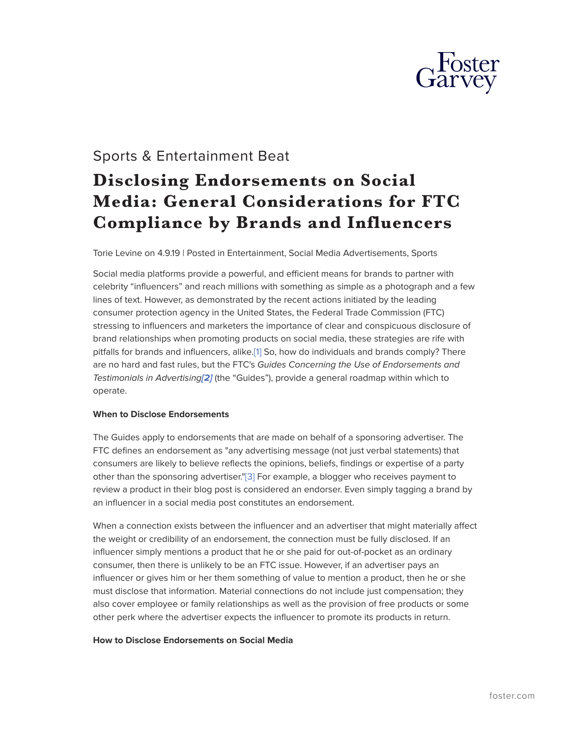

# Sports & Entertainment Beat

# **Disclosing Endorsements on Social Media: General Considerations for FTC Compliance by Brands and Influencers**

Torie Levine on 4.9.19 | Posted in Entertainment, Social Media Advertisements, Sports

Social media platforms provide a powerful, and efficient means for brands to partner with celebrity "influencers" and reach millions with something as simple as a photograph and a few lines of text. However, as demonstrated by the recent actions initiated by the leading consumer protection agency in the United States, the Federal Trade Commission (FTC) stressing to influencers and marketers the importance of clear and conspicuous disclosure of brand relationships when promoting products on social media, these strategies are rife with pitfalls for brands and influencers, alike.[\[1\]](#_ftn1) So, how do individuals and brands comply? There are no hard and fast rules, but the FTC's *Guides Concerning the Use of Endorsements and Testimonials in Advertising[\[2\]](#_ftn2)* (the "Guides"), provide a general roadmap within which to operate.

# **When to Disclose Endorsements**

The Guides apply to endorsements that are made on behalf of a sponsoring advertiser. The FTC defines an endorsement as "any advertising message (not just verbal statements) that consumers are likely to believe reflects the opinions, beliefs, findings or expertise of a party other than the sponsoring advertiser.["\[3\]](#_ftn3) For example, a blogger who receives payment to review a product in their blog post is considered an endorser. Even simply tagging a brand by an influencer in a social media post constitutes an endorsement.

When a connection exists between the influencer and an advertiser that might materially affect the weight or credibility of an endorsement, the connection must be fully disclosed. If an influencer simply mentions a product that he or she paid for out-of-pocket as an ordinary consumer, then there is unlikely to be an FTC issue. However, if an advertiser pays an influencer or gives him or her them something of value to mention a product, then he or she must disclose that information. Material connections do not include just compensation; they also cover employee or family relationships as well as the provision of free products or some other perk where the advertiser expects the influencer to promote its products in return.

#### **How to Disclose Endorsements on Social Media**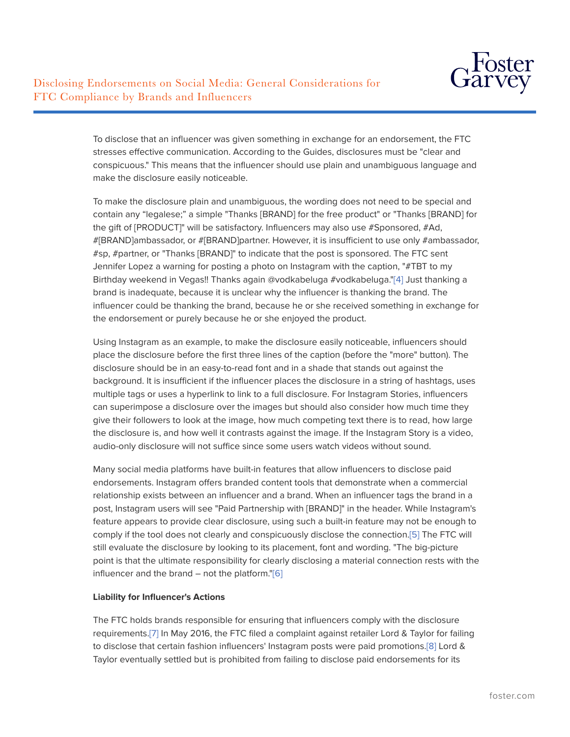To disclose that an influencer was given something in exchange for an endorsement, the FTC stresses effective communication. According to the Guides, disclosures must be "clear and conspicuous." This means that the influencer should use plain and unambiguous language and make the disclosure easily noticeable.

To make the disclosure plain and unambiguous, the wording does not need to be special and contain any "legalese;" a simple "Thanks [BRAND] for the free product" or "Thanks [BRAND] for the gift of [PRODUCT]" will be satisfactory. Influencers may also use #Sponsored, #Ad, #[BRAND]ambassador, or #[BRAND]partner. However, it is insufficient to use only #ambassador, #sp, #partner, or "Thanks [BRAND]" to indicate that the post is sponsored. The FTC sent Jennifer Lopez a warning for posting a photo on Instagram with the caption, "#TBT to my Birthday weekend in Vegas!! Thanks again @vodkabeluga #vodkabeluga."[\[4\]](#_ftn4) Just thanking a brand is inadequate, because it is unclear why the influencer is thanking the brand. The influencer could be thanking the brand, because he or she received something in exchange for the endorsement or purely because he or she enjoyed the product.

Using Instagram as an example, to make the disclosure easily noticeable, influencers should place the disclosure before the first three lines of the caption (before the "more" button). The disclosure should be in an easy-to-read font and in a shade that stands out against the background. It is insufficient if the influencer places the disclosure in a string of hashtags, uses multiple tags or uses a hyperlink to link to a full disclosure. For Instagram Stories, influencers can superimpose a disclosure over the images but should also consider how much time they give their followers to look at the image, how much competing text there is to read, how large the disclosure is, and how well it contrasts against the image. If the Instagram Story is a video, audio-only disclosure will not suffice since some users watch videos without sound.

Many social media platforms have built-in features that allow influencers to disclose paid endorsements. Instagram offers branded content tools that demonstrate when a commercial relationship exists between an influencer and a brand. When an influencer tags the brand in a post, Instagram users will see "Paid Partnership with [BRAND]" in the header. While Instagram's feature appears to provide clear disclosure, using such a built-in feature may not be enough to comply if the tool does not clearly and conspicuously disclose the connection[.\[5\]](#_ftn5) The FTC will still evaluate the disclosure by looking to its placement, font and wording. "The big-picture point is that the ultimate responsibility for clearly disclosing a material connection rests with the influencer and the brand  $-$  not the platform."[\[6\]](#_ftn6)

# **Liability for Influencer's Actions**

The FTC holds brands responsible for ensuring that influencers comply with the disclosure requirements[.\[7\]](#_ftn7) In May 2016, the FTC filed a complaint against retailer Lord & Taylor for failing to disclose that certain fashion influencers' Instagram posts were paid promotions[.\[8\]](#_ftn8) Lord & Taylor eventually settled but is prohibited from failing to disclose paid endorsements for its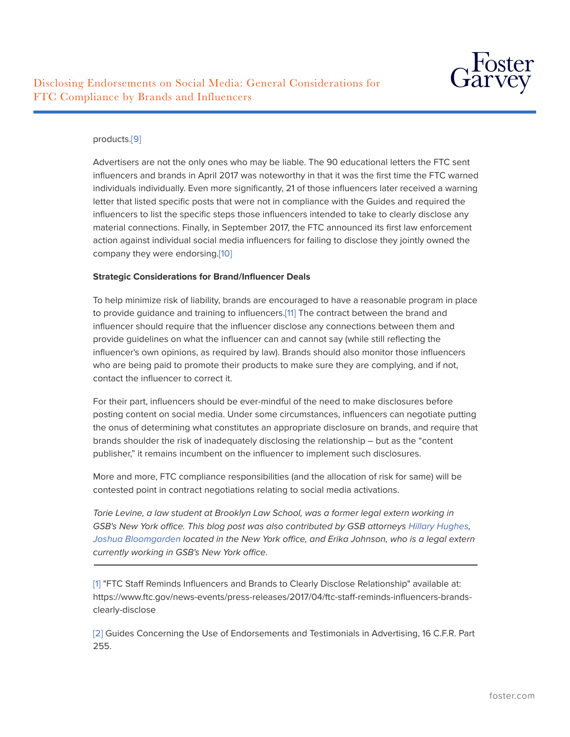

# products.[\[9\]](#_ftn9)

Advertisers are not the only ones who may be liable. The 90 educational letters the FTC sent influencers and brands in April 2017 was noteworthy in that it was the first time the FTC warned individuals individually. Even more significantly, 21 of those influencers later received a warning letter that listed specific posts that were not in compliance with the Guides and required the influencers to list the specific steps those influencers intended to take to clearly disclose any material connections. Finally, in September 2017, the FTC announced its first law enforcement action against individual social media influencers for failing to disclose they jointly owned the company they were endorsing[.\[10\]](#_ftn10)

# **Strategic Considerations for Brand/Influencer Deals**

To help minimize risk of liability, brands are encouraged to have a reasonable program in place to provide guidance and training to influencers[.\[11\]](#_ftn11) The contract between the brand and influencer should require that the influencer disclose any connections between them and provide guidelines on what the influencer can and cannot say (while still reflecting the influencer's own opinions, as required by law). Brands should also monitor those influencers who are being paid to promote their products to make sure they are complying, and if not, contact the influencer to correct it.

For their part, influencers should be ever-mindful of the need to make disclosures before posting content on social media. Under some circumstances, influencers can negotiate putting the onus of determining what constitutes an appropriate disclosure on brands, and require that brands shoulder the risk of inadequately disclosing the relationship – but as the "content publisher," it remains incumbent on the influencer to implement such disclosures.

More and more, FTC compliance responsibilities (and the allocation of risk for same) will be contested point in contract negotiations relating to social media activations.

*Torie Levine, a law student at Brooklyn Law School, was a former legal extern working in* GSB's New York office. This blog post was also contributed by GSB attorneys *Hillary Hughes*, *[Joshua Bloomgarden](https://www.gsblaw.com/people-Joshua-Bloomgarden) located in the New York office, and Erika Johnson, who is a legal extern currently working in GSB's New York office.*  $\overline{a}$ 

[\[1\]](https://www.foster.com/edit-14485.html#_ftnref1) "FTC Staff Reminds Influencers and Brands to Clearly Disclose Relationship" available at: https://www.ftc.gov/news-events/press-releases/2017/04/ftc-staff-reminds-influencers-brandsclearly-disclose

[\[2\]](https://www.foster.com/edit-14485.html#_ftnref2) Guides Concerning the Use of Endorsements and Testimonials in Advertising, 16 C.F.R. Part 255.